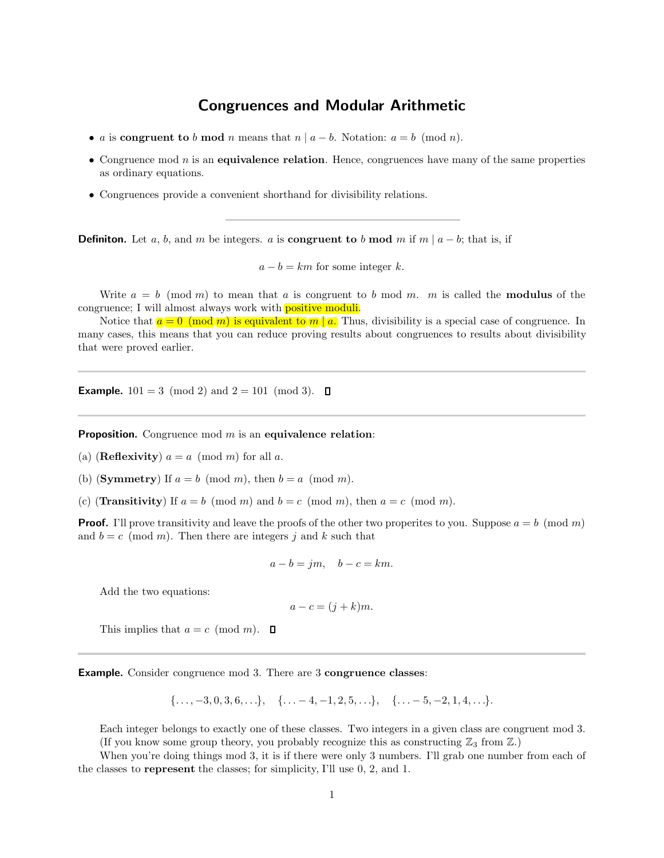## Congruences and Modular Arithmetic

- a is congruent to b mod n means that  $n | a b$ . Notation:  $a = b \pmod{n}$ .
- Congruence mod  $n$  is an equivalence relation. Hence, congruences have many of the same properties as ordinary equations.
- Congruences provide a convenient shorthand for divisibility relations.

**Definition.** Let a, b, and m be integers. a is **congruent to** b mod m if m | a – b; that is, if

 $a - b = km$  for some integer k.

Write  $a = b \pmod{m}$  to mean that a is congruent to b mod m. m is called the **modulus** of the congruence; I will almost always work with **positive moduli**.

Notice that  $a = 0 \pmod{m}$  is equivalent to  $m \mid a$ . Thus, divisibility is a special case of congruence. In many cases, this means that you can reduce proving results about congruences to results about divisibility that were proved earlier.

**Example.**  $101 = 3 \pmod{2}$  and  $2 = 101 \pmod{3}$ .  $\Box$ 

**Proposition.** Congruence mod  $m$  is an equivalence relation:

(a) (**Reflexivity**)  $a = a \pmod{m}$  for all a.

(b) (**Symmetry**) If  $a = b \pmod{m}$ , then  $b = a \pmod{m}$ .

(c) (**Transitivity**) If  $a = b \pmod{m}$  and  $b = c \pmod{m}$ , then  $a = c \pmod{m}$ .

**Proof.** I'll prove transitivity and leave the proofs of the other two properites to you. Suppose  $a = b \pmod{m}$ and  $b = c \pmod{m}$ . Then there are integers j and k such that

$$
a - b = jm, \quad b - c = km.
$$

Add the two equations:

$$
a - c = (j + k)m.
$$

This implies that  $a = c \pmod{m}$ .  $\Box$ 

Example. Consider congruence mod 3. There are 3 congruence classes:

$$
\{\ldots, -3, 0, 3, 6, \ldots\}, \quad \{\ldots -4, -1, 2, 5, \ldots\}, \quad \{\ldots -5, -2, 1, 4, \ldots\}.
$$

Each integer belongs to exactly one of these classes. Two integers in a given class are congruent mod 3. (If you know some group theory, you probably recognize this as constructing  $\mathbb{Z}_3$  from  $\mathbb{Z}$ .)

When you're doing things mod 3, it is if there were only 3 numbers. I'll grab one number from each of the classes to represent the classes; for simplicity, I'll use 0, 2, and 1.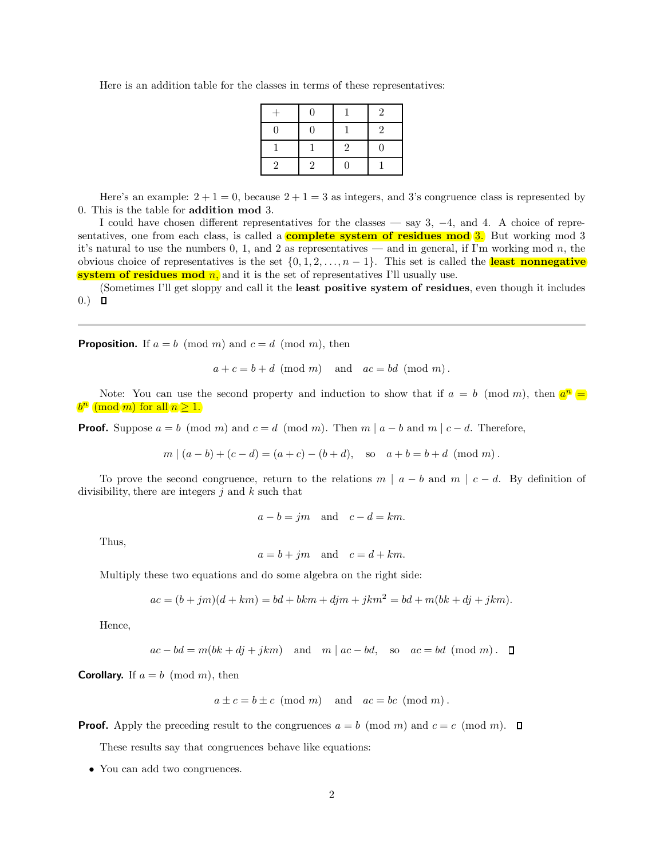| $+$            | $\Omega$      |                | $\mathfrak{D}$ |
|----------------|---------------|----------------|----------------|
| $\Omega$       | $\theta$      |                | 2              |
|                |               | $\overline{2}$ | 0              |
| $\overline{2}$ | $\mathcal{L}$ | O              |                |

Here is an addition table for the classes in terms of these representatives:

Here's an example:  $2 + 1 = 0$ , because  $2 + 1 = 3$  as integers, and 3's congruence class is represented by 0. This is the table for addition mod 3.

I could have chosen different representatives for the classes — say 3, −4, and 4. A choice of representatives, one from each class, is called a **complete system of residues mod 3.** But working mod 3 it's natural to use the numbers 0, 1, and 2 as representatives — and in general, if I'm working mod n, the obvious choice of representatives is the set  $\{0, 1, 2, \ldots, n-1\}$ . This set is called the **least nonnegative** system of residues mod  $n$ , and it is the set of representatives I'll usually use.

(Sometimes I'll get sloppy and call it the least positive system of residues, even though it includes  $0.)\quad \blacksquare$ 

**Proposition.** If  $a = b \pmod{m}$  and  $c = d \pmod{m}$ , then

$$
a + c = b + d \pmod{m}
$$
 and  $ac = bd \pmod{m}$ .

Note: You can use the second property and induction to show that if  $a = b \pmod{m}$ , then  $a^n = a$  $b^n \pmod{m}$  for all  $n \geq 1$ .

**Proof.** Suppose  $a = b \pmod{m}$  and  $c = d \pmod{m}$ . Then  $m | a - b$  and  $m | c - d$ . Therefore,

$$
m|(a-b)+(c-d)=(a+c)-(b+d)
$$
, so  $a+b=b+d \pmod{m}$ .

To prove the second congruence, return to the relations  $m | a - b$  and  $m | c - d$ . By definition of divisibility, there are integers  $i$  and  $k$  such that

$$
a - b = jm
$$
 and  $c - d = km$ .

Thus,

$$
a = b + jm
$$
 and  $c = d + km$ .

Multiply these two equations and do some algebra on the right side:

$$
ac = (b + jm)(d + km) = bd + bkm + djm + jkm2 = bd + m(bk + dj + jkm).
$$

Hence,

$$
ac - bd = m(bk + dj + jkm)
$$
 and  $m \mid ac - bd$ , so  $ac = bd \pmod{m}$ .  $\Box$ 

**Corollary.** If  $a = b \pmod{m}$ , then

$$
a \pm c = b \pm c \pmod{m}
$$
 and  $ac = bc \pmod{m}$ .

**Proof.** Apply the preceding result to the congruences  $a = b \pmod{m}$  and  $c = c \pmod{m}$ .

These results say that congruences behave like equations:

• You can add two congruences.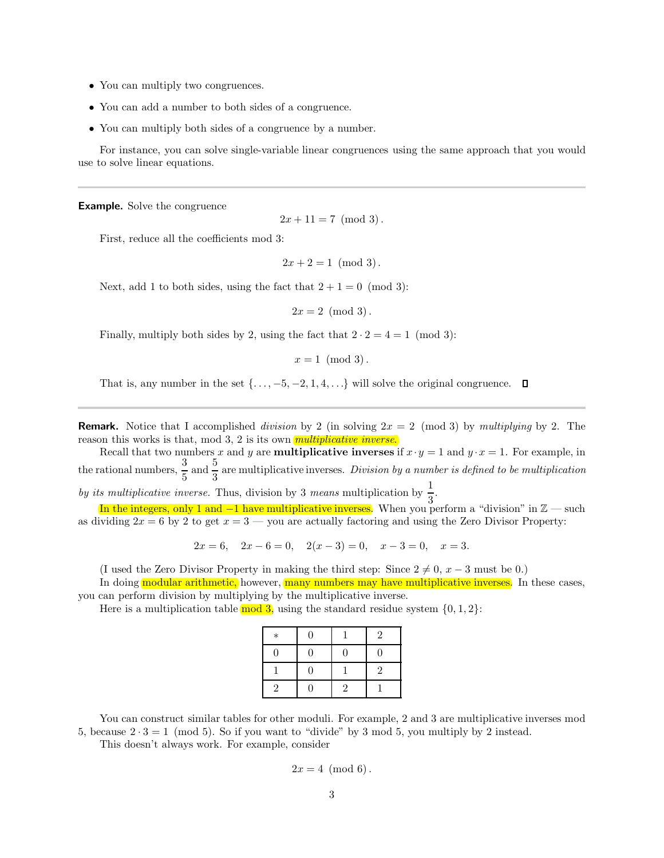- You can multiply two congruences.
- You can add a number to both sides of a congruence.
- You can multiply both sides of a congruence by a number.

For instance, you can solve single-variable linear congruences using the same approach that you would use to solve linear equations.

**Example.** Solve the congruence

 $2x + 11 = 7 \pmod{3}$ .

First, reduce all the coefficients mod 3:

 $2x + 2 = 1 \pmod{3}$ .

Next, add 1 to both sides, using the fact that  $2 + 1 = 0 \pmod{3}$ :

 $2x = 2 \pmod{3}$ .

Finally, multiply both sides by 2, using the fact that  $2 \cdot 2 = 4 = 1 \pmod{3}$ :

 $x = 1 \pmod{3}$ .

That is, any number in the set  $\{\ldots, -5, -2, 1, 4, \ldots\}$  will solve the original congruence.  $\Box$ 

**Remark.** Notice that I accomplished division by 2 (in solving  $2x = 2 \pmod{3}$  by multiplying by 2. The reason this works is that, mod 3, 2 is its own *multiplicative inverse*.

Recall that two numbers x and y are **multiplicative inverses** if  $x \cdot y = 1$  and  $y \cdot x = 1$ . For example, in the rational numbers,  $\frac{3}{5}$  and  $\frac{5}{3}$  are multiplicative inverses. Division by a number is defined to be multiplication

by its multiplicative inverse. Thus, division by 3 means multiplication by  $\frac{1}{3}$ .

In the integers, only 1 and  $-1$  have multiplicative inverses. When you perform a "division" in  $\mathbb{Z}$  — such as dividing  $2x = 6$  by 2 to get  $x = 3$  — you are actually factoring and using the Zero Divisor Property:

 $2x = 6$ ,  $2x - 6 = 0$ ,  $2(x - 3) = 0$ ,  $x - 3 = 0$ ,  $x = 3$ .

(I used the Zero Divisor Property in making the third step: Since  $2 \neq 0, x - 3$  must be 0.)

In doing modular arithmetic, however, many numbers may have multiplicative inverses. In these cases, you can perform division by multiplying by the multiplicative inverse.

Here is a multiplication table  $\mod 3$ , using the standard residue system  $\{0, 1, 2\}$ :

| $\ast$         | $\theta$ |              | $\overline{2}$ |
|----------------|----------|--------------|----------------|
| $\Omega$       | $\theta$ | $\theta$     | $\Omega$       |
|                | 0        |              | $\overline{2}$ |
| $\overline{2}$ | $\Omega$ | $\mathbf{2}$ |                |

You can construct similar tables for other moduli. For example, 2 and 3 are multiplicative inverses mod 5, because  $2 \cdot 3 = 1 \pmod{5}$ . So if you want to "divide" by 3 mod 5, you multiply by 2 instead.

This doesn't always work. For example, consider

$$
2x = 4 \pmod{6}.
$$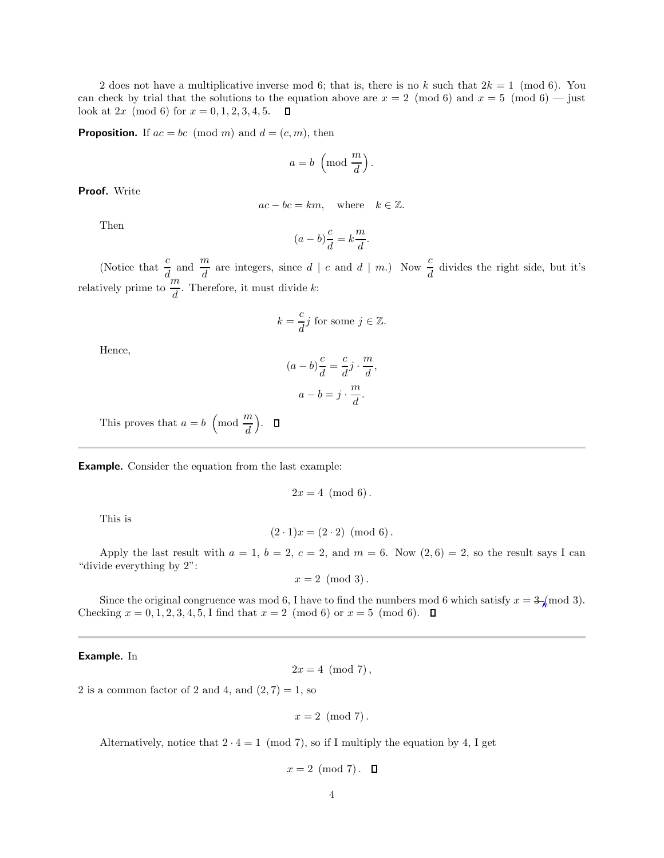2 does not have a multiplicative inverse mod 6; that is, there is no k such that  $2k = 1 \pmod{6}$ . You can check by trial that the solutions to the equation above are  $x = 2 \pmod{6}$  and  $x = 5 \pmod{6}$  — just look at  $2x \pmod{6}$  for  $x = 0, 1, 2, 3, 4, 5$ .  $\Box$ 

**Proposition.** If  $ac = bc \pmod{m}$  and  $d = (c, m)$ , then

$$
a = b \, \left( \text{mod } \frac{m}{d} \right).
$$

Proof. Write

$$
ac - bc = km
$$
, where  $k \in \mathbb{Z}$ .

Then

$$
(a-b)\frac{c}{d} = k\frac{m}{d}.
$$

(Notice that  $\frac{c}{d}$  and  $\frac{m}{d}$  are integers, since  $d \mid c$  and  $d \mid m$ .) Now  $\frac{c}{d}$  divides the right side, but it's relatively prime to  $\frac{a_m}{d}$ . Therefore, it must divide k:

$$
k = \frac{c}{d}j
$$
 for some  $j \in \mathbb{Z}$ .

Hence,

$$
(a - b)\frac{c}{d} = \frac{c}{d}j \cdot \frac{m}{d}
$$

$$
a - b = j \cdot \frac{m}{d}.
$$

,

This proves that  $a = b \pmod{\frac{m}{d}}$ .

Example. Consider the equation from the last example:

$$
2x = 4 \pmod{6}.
$$

This is

$$
(2 \cdot 1)x = (2 \cdot 2) \pmod{6}.
$$

Apply the last result with  $a = 1$ ,  $b = 2$ ,  $c = 2$ , and  $m = 6$ . Now  $(2, 6) = 2$ , so the result says I can "divide everything by 2":

 $x = 2 \pmod{3}$ .

Since the original congruence was mod 6, I have to find the numbers mod 6 which satisfy  $x = 3 \text{ mod } 3$ . Checking  $x = 0, 1, 2, 3, 4, 5, I$  find that  $x = 2 \pmod{6}$  or  $x = 5 \pmod{6}$ .  $\Box$ 

#### Example. In

$$
2x=4\ (\mathrm{mod}\ 7),
$$

2 is a common factor of 2 and 4, and  $(2, 7) = 1$ , so

$$
x = 2 \pmod{7}.
$$

Alternatively, notice that  $2 \cdot 4 = 1 \pmod{7}$ , so if I multiply the equation by 4, I get

 $x = 2 \pmod{7}$ .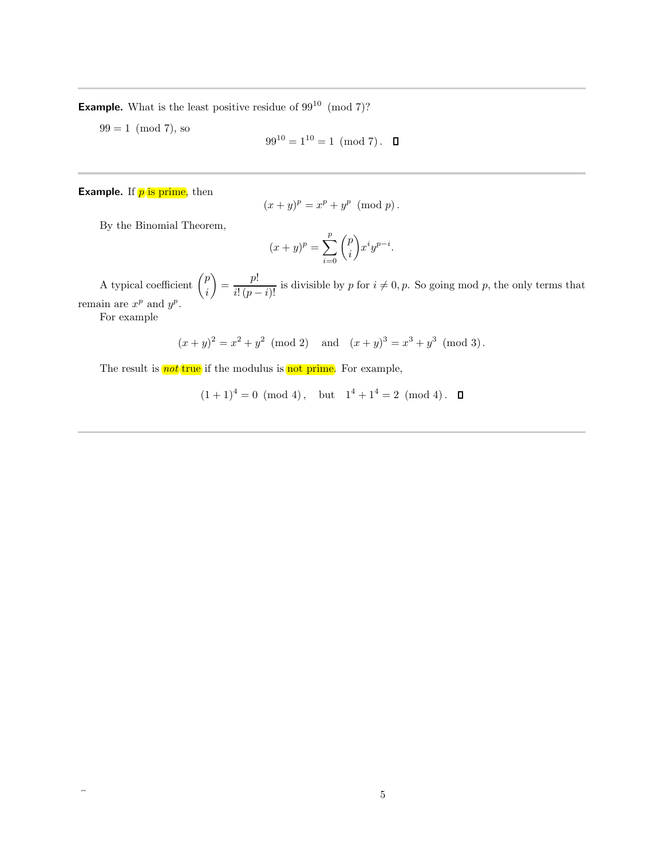**Example.** What is the least positive residue of  $99^{10}$  (mod 7)?

 $99 = 1 \pmod{7}$ , so

$$
99^{10} = 1^{10} = 1 \pmod{7}.
$$

### **Example.** If  $p$  is prime, then

$$
(x+y)^p = x^p + y^p \pmod{p}.
$$

By the Binomial Theorem,

$$
(x+y)^p = \sum_{i=0}^p \binom{p}{i} x^i y^{p-i}.
$$

A typical coefficient  $\binom{p}{p}$ i  $=\frac{p!}{i!(p-i)!}$  is divisible by p for  $i \neq 0, p$ . So going mod p, the only terms that remain are  $x^p$  and  $y^p$ .

For example

$$
(x+y)^2 = x^2 + y^2 \pmod{2}
$$
 and  $(x+y)^3 = x^3 + y^3 \pmod{3}$ .

The result is  $\frac{not}{\text{true}}$  if the modulus is not prime. For example,

 $(1+1)^4 = 0 \pmod{4}$ , but  $1^4 + 1^4 = 2 \pmod{4}$ .  $\Box$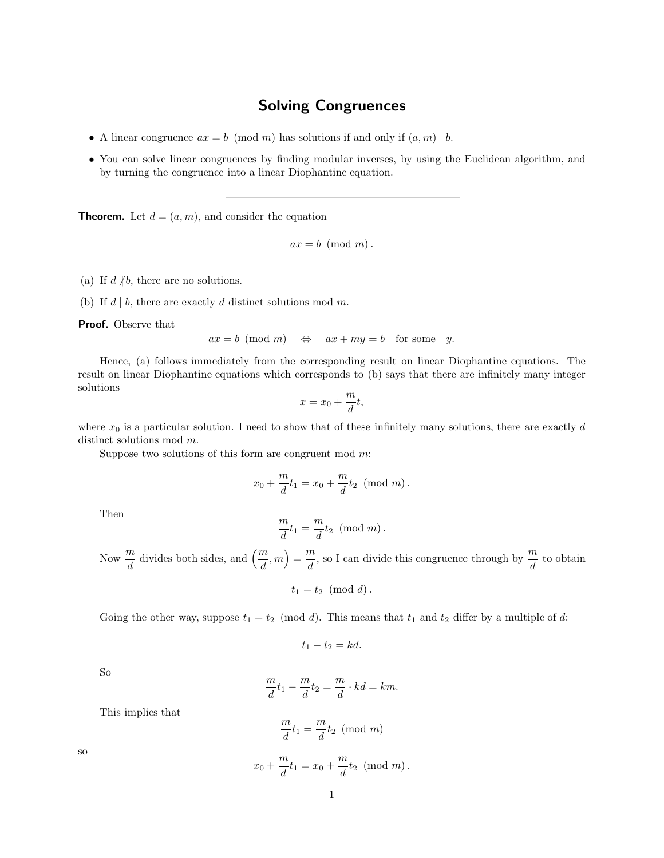# Solving Congruences

- A linear congruence  $ax = b \pmod{m}$  has solutions if and only if  $(a, m) \mid b$ .
- You can solve linear congruences by finding modular inverses, by using the Euclidean algorithm, and by turning the congruence into a linear Diophantine equation.

**Theorem.** Let  $d = (a, m)$ , and consider the equation

 $ax = b \pmod{m}$ .

(a) If  $d \nmid b$ , there are no solutions.

(b) If  $d \mid b$ , there are exactly d distinct solutions mod m.

Proof. Observe that

$$
ax = b \pmod{m} \iff ax + my = b \text{ for some } y.
$$

Hence, (a) follows immediately from the corresponding result on linear Diophantine equations. The result on linear Diophantine equations which corresponds to (b) says that there are infinitely many integer solutions

$$
x = x_0 + \frac{m}{d}t,
$$

where  $x_0$  is a particular solution. I need to show that of these infinitely many solutions, there are exactly d distinct solutions mod  $m$ .

Suppose two solutions of this form are congruent mod  $m$ :

$$
x_0 + \frac{m}{d}t_1 = x_0 + \frac{m}{d}t_2 \pmod{m}.
$$

Then

$$
\frac{m}{d}t_1 = \frac{m}{d}t_2 \pmod{m}.
$$

Now  $\frac{m}{d}$  divides both sides, and  $\left(\frac{m}{d}, m\right) = \frac{m}{d}$  $\frac{m}{d}$ , so I can divide this congruence through by  $\frac{m}{d}$  to obtain

$$
t_1 = t_2 \pmod{d}.
$$

Going the other way, suppose  $t_1 = t_2 \pmod{d}$ . This means that  $t_1$  and  $t_2$  differ by a multiple of d:

$$
t_1 - t_2 = kd.
$$

So

$$
\frac{m}{d}t_1 - \frac{m}{d}t_2 = \frac{m}{d} \cdot kd = km.
$$

This implies that

$$
\frac{m}{d}t_1 = \frac{m}{d}t_2 \pmod{m}
$$

$$
x_0 + \frac{m}{d}t_1 = x_0 + \frac{m}{d}t_2 \pmod{m}.
$$

so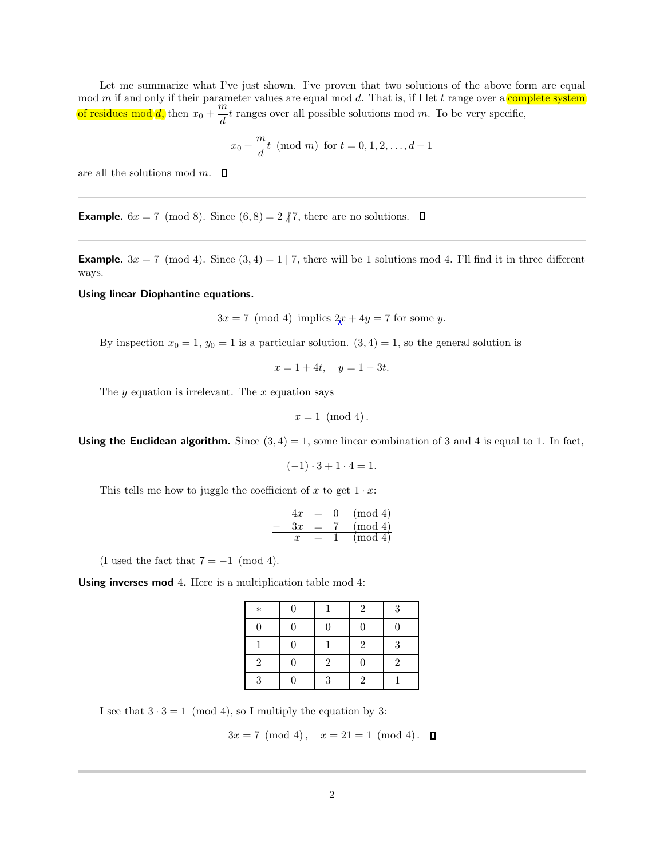Let me summarize what I've just shown. I've proven that two solutions of the above form are equal mod m if and only if their parameter values are equal mod d. That is, if I let t range over a complete system of residues mod d, then  $x_0 + \frac{m}{l}$  $\frac{d}{dt}t$  ranges over all possible solutions mod m. To be very specific,

$$
x_0 + \frac{m}{d}t \pmod{m}
$$
 for  $t = 0, 1, 2, ..., d - 1$ 

are all the solutions mod  $m$ .  $\square$ 

**Example.**  $6x = 7 \pmod{8}$ . Since  $(6, 8) = 2 \nmid 7$ , there are no solutions.  $\Box$ 

**Example.**  $3x = 7 \pmod{4}$ . Since  $(3, 4) = 1 \mid 7$ , there will be 1 solutions mod 4. I'll find it in three different ways.

Using linear Diophantine equations.

 $3x = 7 \pmod{4}$  implies  $2x + 4y = 7$  for some y.

By inspection  $x_0 = 1$ ,  $y_0 = 1$  is a particular solution.  $(3, 4) = 1$ , so the general solution is

 $x = 1 + 4t$ ,  $y = 1 - 3t$ .

The  $y$  equation is irrelevant. The  $x$  equation says

$$
x=1 \pmod{4}.
$$

**Using the Euclidean algorithm.** Since  $(3, 4) = 1$ , some linear combination of 3 and 4 is equal to 1. In fact,

$$
(-1) \cdot 3 + 1 \cdot 4 = 1.
$$

This tells me how to juggle the coefficient of x to get  $1 \cdot x$ :

$$
\begin{array}{rcl}\n4x & = & 0 \pmod{4} \\
- & 3x & = & 7 \pmod{4} \\
x & = & 1 \pmod{4}\n\end{array}
$$

(I used the fact that  $7 = -1 \pmod{4}$ .

Using inverses mod 4. Here is a multiplication table mod 4:

| $\ast$         |                | $\overline{2}$ | 3              |
|----------------|----------------|----------------|----------------|
|                |                |                | 0              |
|                |                | $\overline{2}$ | 3              |
| $\overline{2}$ | $\overline{2}$ | 0              | $\overline{2}$ |
| 3              | 3              | $\overline{2}$ |                |

I see that  $3 \cdot 3 = 1 \pmod{4}$ , so I multiply the equation by 3:

$$
3x = 7 \pmod{4}, \quad x = 21 = 1 \pmod{4}.
$$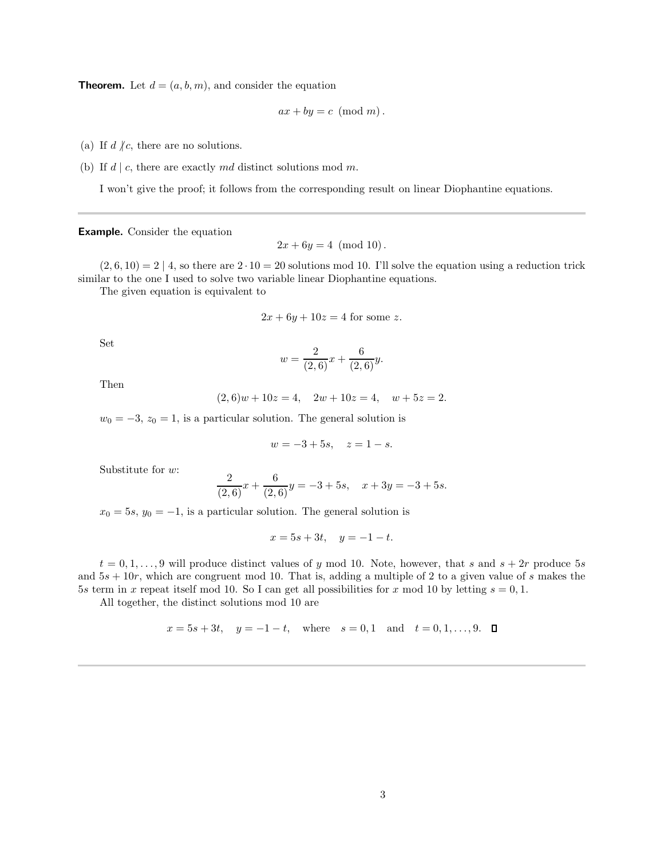**Theorem.** Let  $d = (a, b, m)$ , and consider the equation

$$
ax + by = c \pmod{m}.
$$

(a) If  $d \nmid c$ , there are no solutions.

(b) If  $d \mid c$ , there are exactly md distinct solutions mod m.

I won't give the proof; it follows from the corresponding result on linear Diophantine equations.

Example. Consider the equation

 $2x + 6y = 4 \pmod{10}$ .

 $(2, 6, 10) = 2 \mid 4$ , so there are  $2 \cdot 10 = 20$  solutions mod 10. I'll solve the equation using a reduction trick similar to the one I used to solve two variable linear Diophantine equations.

The given equation is equivalent to

$$
2x + 6y + 10z = 4
$$
 for some z.

Set

$$
w = \frac{2}{(2,6)}x + \frac{6}{(2,6)}y.
$$

Then

 $(2, 6)w + 10z = 4$ ,  $2w + 10z = 4$ ,  $w + 5z = 2$ .

 $w_0 = -3$ ,  $z_0 = 1$ , is a particular solution. The general solution is

$$
w = -3 + 5s, \quad z = 1 - s.
$$

Substitute for  $w$ :

$$
\frac{2}{(2,6)}x + \frac{6}{(2,6)}y = -3 + 5s, \quad x + 3y = -3 + 5s.
$$

 $x_0 = 5s$ ,  $y_0 = -1$ , is a particular solution. The general solution is

$$
x = 5s + 3t, \quad y = -1 - t.
$$

 $t = 0, 1, \ldots, 9$  will produce distinct values of y mod 10. Note, however, that s and  $s + 2r$  produce 5s and  $5s + 10r$ , which are congruent mod 10. That is, adding a multiple of 2 to a given value of s makes the 5s term in x repeat itself mod 10. So I can get all possibilities for x mod 10 by letting  $s = 0, 1$ .

All together, the distinct solutions mod 10 are

$$
x = 5s + 3t
$$
,  $y = -1 - t$ , where  $s = 0, 1$  and  $t = 0, 1, ..., 9$ .  $\Box$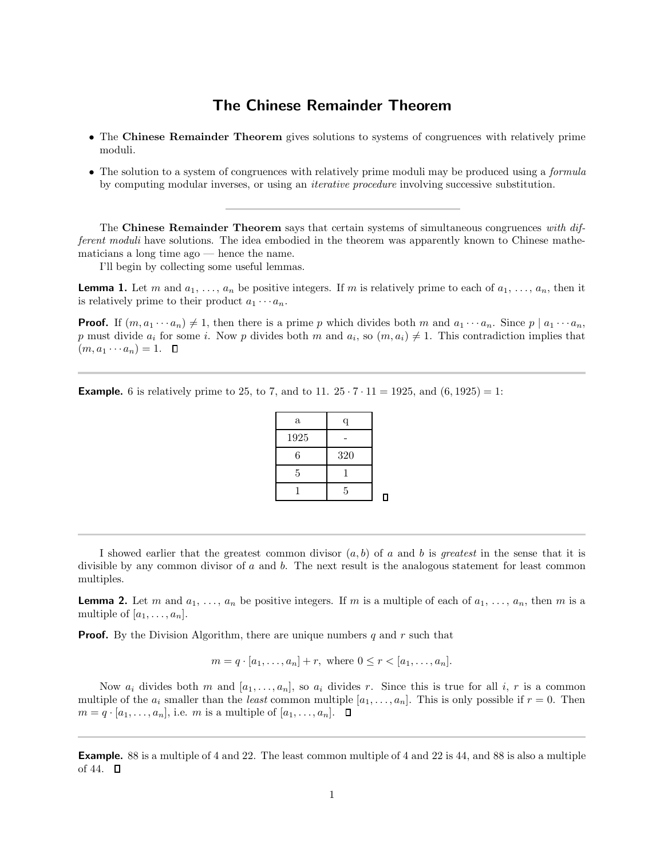# The Chinese Remainder Theorem

- The Chinese Remainder Theorem gives solutions to systems of congruences with relatively prime moduli.
- The solution to a system of congruences with relatively prime moduli may be produced using a *formula* by computing modular inverses, or using an iterative procedure involving successive substitution.

The Chinese Remainder Theorem says that certain systems of simultaneous congruences with different moduli have solutions. The idea embodied in the theorem was apparently known to Chinese mathematicians a long time ago — hence the name.

I'll begin by collecting some useful lemmas.

**Lemma 1.** Let m and  $a_1, \ldots, a_n$  be positive integers. If m is relatively prime to each of  $a_1, \ldots, a_n$ , then it is relatively prime to their product  $a_1 \cdots a_n$ .

**Proof.** If  $(m, a_1 \cdots a_n) \neq 1$ , then there is a prime p which divides both m and  $a_1 \cdots a_n$ . Since  $p \mid a_1 \cdots a_n$ , p must divide  $a_i$  for some i. Now p divides both m and  $a_i$ , so  $(m, a_i) \neq 1$ . This contradiction implies that  $(m, a_1 \cdots a_n) = 1. \quad \blacksquare$ 

**Example.** 6 is relatively prime to 25, to 7, and to 11.  $25 \cdot 7 \cdot 11 = 1925$ , and  $(6, 1925) = 1$ :

| q   | a    |
|-----|------|
|     | 1925 |
| 320 | 6    |
|     | 5    |
| 5   |      |
|     |      |

I showed earlier that the greatest common divisor  $(a, b)$  of a and b is greatest in the sense that it is divisible by any common divisor of a and b. The next result is the analogous statement for least common multiples.

**Lemma 2.** Let m and  $a_1, \ldots, a_n$  be positive integers. If m is a multiple of each of  $a_1, \ldots, a_n$ , then m is a multiple of  $[a_1, \ldots, a_n]$ .

**Proof.** By the Division Algorithm, there are unique numbers q and r such that

$$
m = q \cdot [a_1, ..., a_n] + r
$$
, where  $0 \le r < [a_1, ..., a_n]$ .

Now  $a_i$  divides both m and  $[a_1, \ldots, a_n]$ , so  $a_i$  divides r. Since this is true for all i, r is a common multiple of the  $a_i$  smaller than the *least* common multiple  $[a_1, \ldots, a_n]$ . This is only possible if  $r = 0$ . Then  $m = q \cdot [a_1, \ldots, a_n],$  i.e. m is a multiple of  $[a_1, \ldots, a_n].$   $\Box$ 

Example. 88 is a multiple of 4 and 22. The least common multiple of 4 and 22 is 44, and 88 is also a multiple of 44.  $\Box$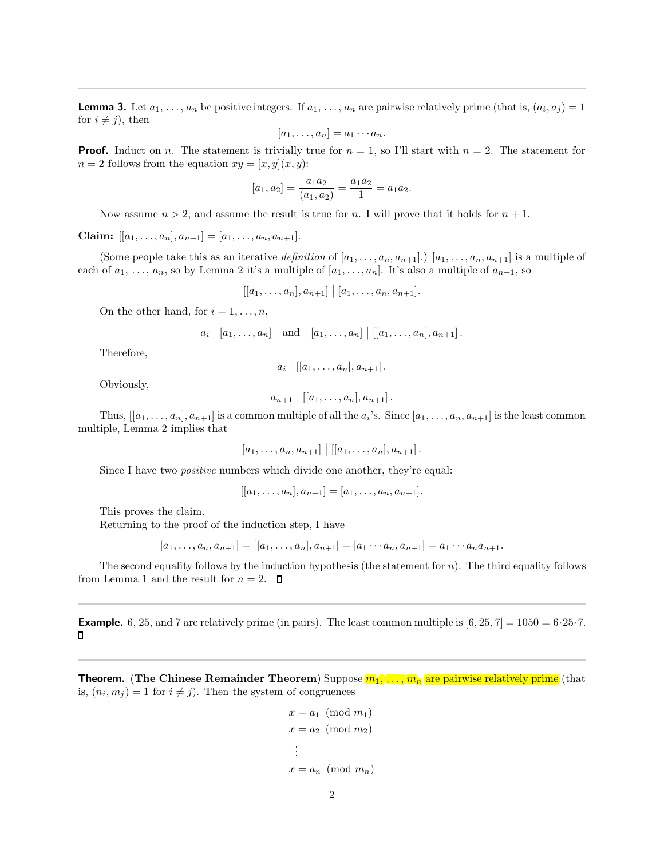**Lemma 3.** Let  $a_1, \ldots, a_n$  be positive integers. If  $a_1, \ldots, a_n$  are pairwise relatively prime (that is,  $(a_i, a_j) = 1$ for  $i \neq j$ , then

$$
[a_1,\ldots,a_n]=a_1\cdots a_n.
$$

**Proof.** Induct on n. The statement is trivially true for  $n = 1$ , so I'll start with  $n = 2$ . The statement for  $n = 2$  follows from the equation  $xy = [x, y](x, y)$ :

$$
[a_1, a_2] = \frac{a_1 a_2}{(a_1, a_2)} = \frac{a_1 a_2}{1} = a_1 a_2.
$$

Now assume  $n > 2$ , and assume the result is true for n. I will prove that it holds for  $n + 1$ .

Claim:  $[[a_1, \ldots, a_n], a_{n+1}] = [a_1, \ldots, a_n, a_{n+1}].$ 

(Some people take this as an iterative definition of  $[a_1, \ldots, a_n, a_{n+1}]$ .)  $[a_1, \ldots, a_n, a_{n+1}]$  is a multiple of each of  $a_1, \ldots, a_n$ , so by Lemma 2 it's a multiple of  $[a_1, \ldots, a_n]$ . It's also a multiple of  $a_{n+1}$ , so

$$
[[a_1,\ldots,a_n],a_{n+1}]\ | [a_1,\ldots,a_n,a_{n+1}].
$$

On the other hand, for  $i = 1, \ldots, n$ ,

$$
a_i | [a_1, ..., a_n]
$$
 and  $[a_1, ..., a_n] | [[a_1, ..., a_n], a_{n+1}].$ 

Therefore,

$$
a_i \mid [[a_1,\ldots,a_n],a_{n+1}].
$$

Obviously,

$$
a_{n+1} \mid [[a_1, \ldots, a_n], a_{n+1}].
$$

Thus,  $[[a_1,\ldots,a_n],a_{n+1}]$  is a common multiple of all the  $a_i$ 's. Since  $[a_1,\ldots,a_n,a_{n+1}]$  is the least common multiple, Lemma 2 implies that

$$
[a_1,\ldots,a_n,a_{n+1}] | [[a_1,\ldots,a_n],a_{n+1}].
$$

Since I have two *positive* numbers which divide one another, they're equal:

$$
[[a_1,\ldots,a_n],a_{n+1}]=[a_1,\ldots,a_n,a_{n+1}].
$$

This proves the claim.

Returning to the proof of the induction step, I have

$$
[a_1, \ldots, a_n, a_{n+1}] = [[a_1, \ldots, a_n], a_{n+1}] = [a_1 \cdots a_n, a_{n+1}] = a_1 \cdots a_n a_{n+1}.
$$

The second equality follows by the induction hypothesis (the statement for  $n$ ). The third equality follows from Lemma 1 and the result for  $n = 2$ .  $\Box$ 

**Example.** 6, 25, and 7 are relatively prime (in pairs). The least common multiple is  $[6, 25, 7] = 1050 = 6.25.7$ .  $\Box$ 

**Theorem.** (The Chinese Remainder Theorem) Suppose  $m_1, \ldots, m_n$  are pairwise relatively prime (that is,  $(n_i, m_j) = 1$  for  $i \neq j$ . Then the system of congruences

$$
x = a_1 \pmod{m_1}
$$

$$
x = a_2 \pmod{m_2}
$$

$$
\vdots
$$

$$
x = a_n \pmod{m_n}
$$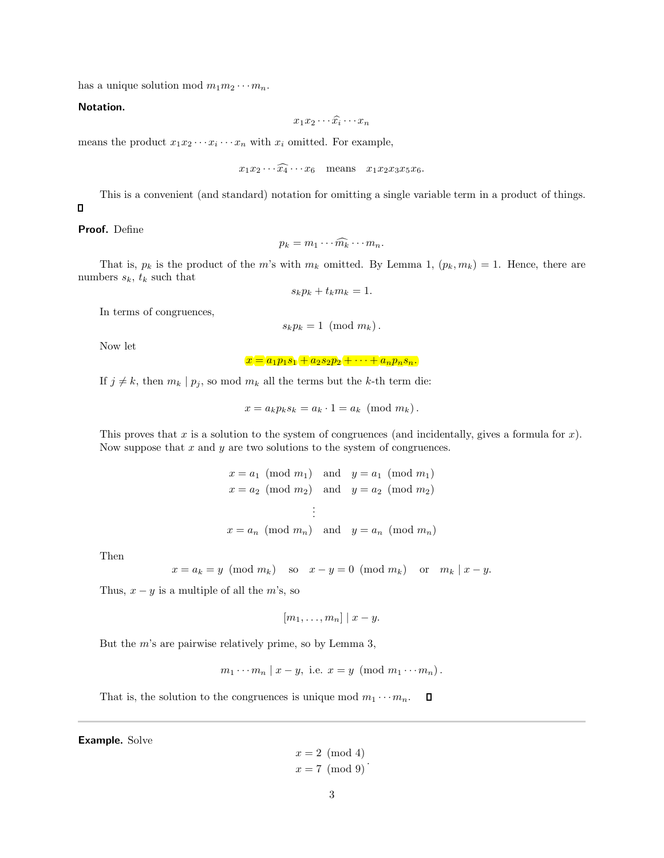has a unique solution mod  $m_1m_2\cdots m_n$ .

#### Notation.

$$
x_1x_2\cdots\widehat{x_i}\cdots x_n
$$

means the product  $x_1 x_2 \cdots x_i \cdots x_n$  with  $x_i$  omitted. For example,

$$
x_1x_2\cdots\widehat{x_4}\cdots x_6
$$
 means  $x_1x_2x_3x_5x_6$ .

This is a convenient (and standard) notation for omitting a single variable term in a product of things.

### Proof. Define

 $\Box$ 

$$
p_k = m_1 \cdots \widehat{m_k} \cdots m_n.
$$

That is,  $p_k$  is the product of the m's with  $m_k$  omitted. By Lemma 1,  $(p_k, m_k) = 1$ . Hence, there are numbers  $s_k$ ,  $t_k$  such that

$$
s_k p_k + t_k m_k = 1.
$$

In terms of congruences,

$$
s_k p_k = 1 \pmod{m_k}.
$$

Now let

 $x = a_1p_1s_1 + a_2s_2p_2 + \cdots + a_np_ns_n$ 

If  $j \neq k$ , then  $m_k | p_j$ , so mod  $m_k$  all the terms but the k-th term die:

$$
x = a_k p_k s_k = a_k \cdot 1 = a_k \pmod{m_k}.
$$

This proves that x is a solution to the system of congruences (and incidentally, gives a formula for  $x$ ). Now suppose that  $x$  and  $y$  are two solutions to the system of congruences.

$$
x = a_1 \pmod{m_1}
$$
 and  $y = a_1 \pmod{m_1}$   
\n $x = a_2 \pmod{m_2}$  and  $y = a_2 \pmod{m_2}$   
\n $\vdots$   
\n $x = a_n \pmod{m_n}$  and  $y = a_n \pmod{m_n}$ 

Then

$$
x = a_k = y \pmod{m_k}
$$
 so  $x - y = 0 \pmod{m_k}$  or  $m_k | x - y$ .

Thus,  $x - y$  is a multiple of all the m's, so

$$
[m_1,\ldots,m_n] | x-y.
$$

But the  $m$ 's are pairwise relatively prime, so by Lemma 3,

 $m_1 \cdots m_n \mid x - y$ , i.e.  $x = y \pmod{m_1 \cdots m_n}$ .

That is, the solution to the congruences is unique mod  $m_1 \cdots m_n$ .  $\Box$ 

Example. Solve

 $x = 2 \pmod{4}$  $x = 7 \pmod{9}$ .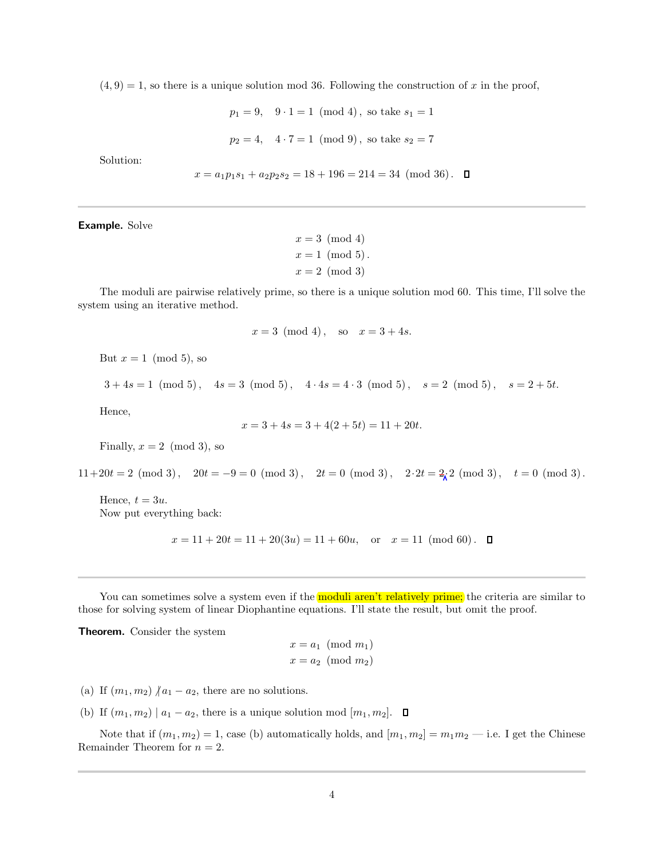$(4, 9) = 1$ , so there is a unique solution mod 36. Following the construction of x in the proof,

$$
p_1 = 9
$$
,  $9 \cdot 1 = 1 \pmod{4}$ , so take  $s_1 = 1$ 

$$
p_2 = 4
$$
,  $4 \cdot 7 = 1 \pmod{9}$ , so take  $s_2 = 7$ 

Solution:

$$
x = a_1 p_1 s_1 + a_2 p_2 s_2 = 18 + 196 = 214 = 34 \pmod{36}.
$$

Example. Solve

 $x = 3 \pmod{4}$  $x=1 \pmod{5}$ .  $x = 2 \pmod{3}$ 

The moduli are pairwise relatively prime, so there is a unique solution mod 60. This time, I'll solve the system using an iterative method.

$$
x = 3 \pmod{4}
$$
, so  $x = 3 + 4s$ .

But  $x = 1 \pmod{5}$ , so

$$
3 + 4s = 1 \pmod{5}
$$
,  $4s = 3 \pmod{5}$ ,  $4 \cdot 4s = 4 \cdot 3 \pmod{5}$ ,  $s = 2 \pmod{5}$ ,  $s = 2 + 5t$ .

Hence,

$$
x = 3 + 4s = 3 + 4(2 + 5t) = 11 + 20t.
$$

Finally,  $x = 2 \pmod{3}$ , so

 $11+20t = 2 \pmod{3}$ ,  $20t = -9 = 0 \pmod{3}$ ,  $2t = 0 \pmod{3}$ ,  $2 \cdot 2t = 2\sqrt{2} \pmod{3}$ ,  $t = 0 \pmod{3}$ .

Hence,  $t = 3u$ . Now put everything back:

$$
x = 11 + 20t = 11 + 20(3u) = 11 + 60u
$$
, or  $x = 11 \pmod{60}$ .  $\Box$ 

You can sometimes solve a system even if the **moduli aren't relatively prime;** the criteria are similar to those for solving system of linear Diophantine equations. I'll state the result, but omit the proof.

Theorem. Consider the system

$$
x = a_1 \pmod{m_1}
$$

$$
x = a_2 \pmod{m_2}
$$

- (a) If  $(m_1, m_2)$   $n_1 a_2$ , there are no solutions.
- (b) If  $(m_1, m_2) | a_1 a_2$ , there is a unique solution mod  $[m_1, m_2]$ .  $\Box$

Note that if  $(m_1, m_2) = 1$ , case (b) automatically holds, and  $[m_1, m_2] = m_1 m_2$  - i.e. I get the Chinese Remainder Theorem for  $n = 2$ .